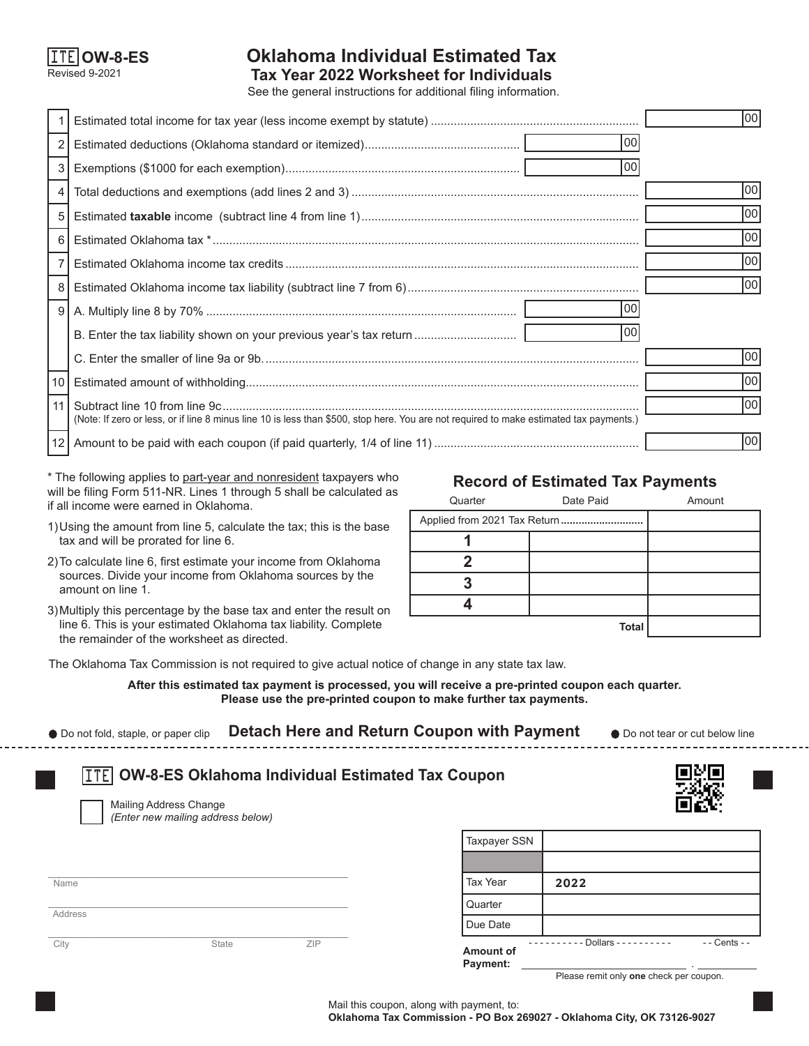

# **Oklahoma Individual Estimated Tax**

See the general instructions for additional filing information. Revised 9-2021 **Tax Year 2022 Worksheet for Individuals**

1 Estimated total income for tax year (less income exempt by statute) ............................................................... 2 Estimated deductions (Oklahoma standard or itemized)............................................... 3 Exemptions (\$1000 for each exemption)....................................................................... 4 Total deductions and exemptions (add lines 2 and 3) ....................................................................................... 5 Estimated **taxable** income (subtract line 4 from line 1).................................................................................... 6 Estimated Oklahoma tax \*................................................................................................................................. 7 Estimated Oklahoma income tax credits ........................................................................................................... 8 Estimated Oklahoma income tax liability (subtract line 7 from 6)...................................................................... 9 A. Multiply line 8 by 70% .............................................................................................. B. Enter the tax liability shown on your previous year's tax return ............................... C. Enter the smaller of line 9a or 9b.................................................................................................................. 10 Estimated amount of withholding....................................................................................................................... 11 Subtract line 10 from line 9c.............................................................................................................................. (Note: If zero or less, or if line 8 minus line 10 is less than \$500, stop here. You are not required to make estimated tax payments.) 12 Amount to be paid with each coupon (if paid quarterly, 1/4 of line 11) .............................................................. 00 00 00 00 00 00 00 00 00 00 00 00 00 00

\* The following applies to part-year and nonresident taxpayers who will be filing Form 511-NR. Lines 1 through 5 shall be calculated as if all income were earned in Oklahoma.

- 1)Using the amount from line 5, calculate the tax; this is the base tax and will be prorated for line 6.
- 2)To calculate line 6, first estimate your income from Oklahoma sources. Divide your income from Oklahoma sources by the amount on line 1.
- 3)Multiply this percentage by the base tax and enter the result on line 6. This is your estimated Oklahoma tax liability. Complete the remainder of the worksheet as directed.

## **Record of Estimated Tax Payments**

| Quarter | Date Paid    | Amount |
|---------|--------------|--------|
|         |              |        |
|         |              |        |
|         |              |        |
|         |              |        |
|         |              |        |
|         | <b>Total</b> |        |

The Oklahoma Tax Commission is not required to give actual notice of change in any state tax law.

**After this estimated tax payment is processed, you will receive a pre-printed coupon each quarter. Please use the pre-printed coupon to make further tax payments.**

| ● Do not fold, staple, or paper clip | Detach Here and Return Coupon with Payment | • Do not tear or cut below line |
|--------------------------------------|--------------------------------------------|---------------------------------|
|                                      |                                            |                                 |

| <b>ITE OW-8-ES Oklahoma Individual Estimated Tax Coupon</b> |
|-------------------------------------------------------------|
|-------------------------------------------------------------|

Mailing Address Change *(Enter new mailing address below)*

 $\_$  . The contribution of the contribution of  $\mathcal{L}_\mathcal{A}$ Name

\_\_\_\_\_\_\_\_\_\_\_\_\_\_\_\_\_\_\_\_\_\_\_\_\_\_\_\_\_\_\_\_\_\_\_\_\_\_\_\_\_\_\_\_\_\_\_\_\_\_\_

\_\_\_\_\_\_\_\_\_\_\_\_\_\_\_\_\_\_\_\_\_\_\_\_\_\_\_\_\_\_\_\_\_\_\_\_\_\_\_\_\_\_\_\_\_\_\_\_\_\_\_ **Address** 

City **State City** State **ZIP** 

| Taxpayer SSN          |                         |               |
|-----------------------|-------------------------|---------------|
|                       |                         |               |
| l Tax Year            | 2022                    |               |
| Quarter               |                         |               |
| Due Date              |                         |               |
| Amount of<br>Payment: | Dollars - - - - - - - - | - - Cents - - |

Please remit only **one** check per coupon.